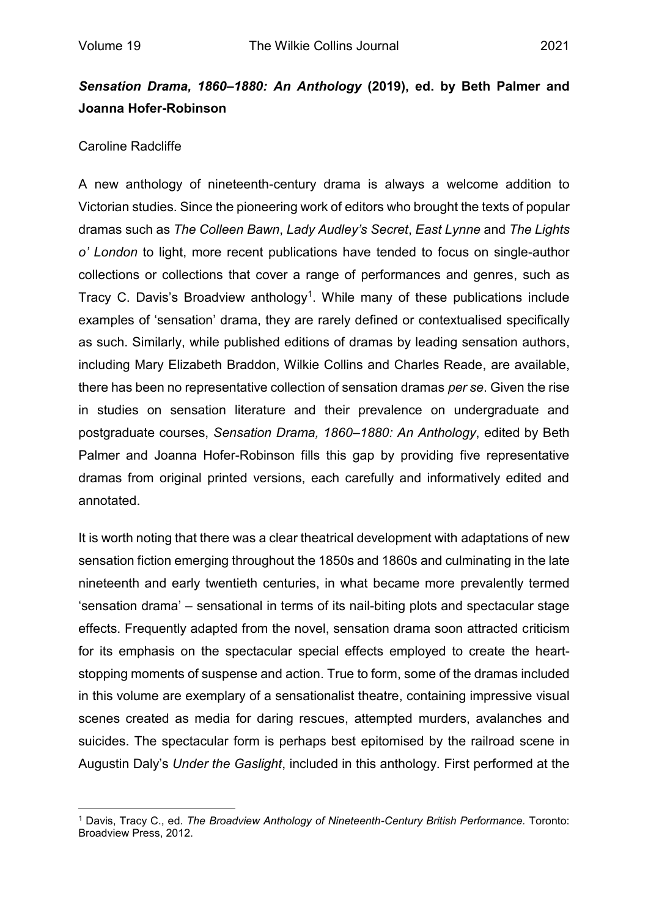## *Sensation Drama, 1860–1880: An Anthology* **(2019), ed. by Beth Palmer and Joanna Hofer-Robinson**

## Caroline Radcliffe

A new anthology of nineteenth-century drama is always a welcome addition to Victorian studies. Since the pioneering work of editors who brought the texts of popular dramas such as *The Colleen Bawn*, *Lady Audley's Secret*, *East Lynne* and *The Lights o' London* to light, more recent publications have tended to focus on single-author collections or collections that cover a range of performances and genres, such as Tracy C. Davis's Broadview anthology<sup>1</sup>. While many of these publications include examples of 'sensation' drama, they are rarely defined or contextualised specifically as such. Similarly, while published editions of dramas by leading sensation authors, including Mary Elizabeth Braddon, Wilkie Collins and Charles Reade, are available, there has been no representative collection of sensation dramas *per se*. Given the rise in studies on sensation literature and their prevalence on undergraduate and postgraduate courses, *Sensation Drama, 1860–1880: An Anthology*, edited by Beth Palmer and Joanna Hofer-Robinson fills this gap by providing five representative dramas from original printed versions, each carefully and informatively edited and annotated.

It is worth noting that there was a clear theatrical development with adaptations of new sensation fiction emerging throughout the 1850s and 1860s and culminating in the late nineteenth and early twentieth centuries, in what became more prevalently termed 'sensation drama' – sensational in terms of its nail-biting plots and spectacular stage effects. Frequently adapted from the novel, sensation drama soon attracted criticism for its emphasis on the spectacular special effects employed to create the heartstopping moments of suspense and action. True to form, some of the dramas included in this volume are exemplary of a sensationalist theatre, containing impressive visual scenes created as media for daring rescues, attempted murders, avalanches and suicides. The spectacular form is perhaps best epitomised by the railroad scene in Augustin Daly's *Under the Gaslight*, included in this anthology*.* First performed at the

 $\overline{a}$ <sup>1</sup> Davis, Tracy C., ed. *The Broadview Anthology of Nineteenth-Century British Performance.* Toronto: Broadview Press, 2012.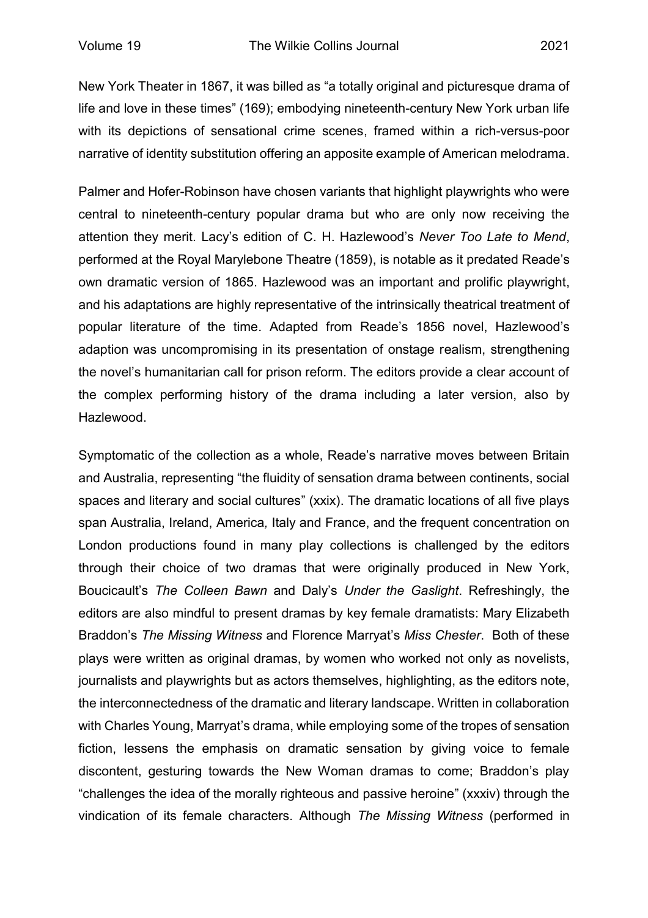New York Theater in 1867, it was billed as "a totally original and picturesque drama of life and love in these times" (169); embodying nineteenth-century New York urban life with its depictions of sensational crime scenes, framed within a rich-versus-poor narrative of identity substitution offering an apposite example of American melodrama.

Palmer and Hofer-Robinson have chosen variants that highlight playwrights who were central to nineteenth-century popular drama but who are only now receiving the attention they merit. Lacy's edition of C. H. Hazlewood's *Never Too Late to Mend*, performed at the Royal Marylebone Theatre (1859), is notable as it predated Reade's own dramatic version of 1865. Hazlewood was an important and prolific playwright, and his adaptations are highly representative of the intrinsically theatrical treatment of popular literature of the time. Adapted from Reade's 1856 novel, Hazlewood's adaption was uncompromising in its presentation of onstage realism, strengthening the novel's humanitarian call for prison reform. The editors provide a clear account of the complex performing history of the drama including a later version, also by Hazlewood.

Symptomatic of the collection as a whole, Reade's narrative moves between Britain and Australia, representing "the fluidity of sensation drama between continents, social spaces and literary and social cultures" (xxix). The dramatic locations of all five plays span Australia, Ireland, America*,* Italy and France, and the frequent concentration on London productions found in many play collections is challenged by the editors through their choice of two dramas that were originally produced in New York, Boucicault's *The Colleen Bawn* and Daly's *Under the Gaslight*. Refreshingly, the editors are also mindful to present dramas by key female dramatists: Mary Elizabeth Braddon's *The Missing Witness* and Florence Marryat's *Miss Chester*. Both of these plays were written as original dramas, by women who worked not only as novelists, journalists and playwrights but as actors themselves, highlighting, as the editors note, the interconnectedness of the dramatic and literary landscape. Written in collaboration with Charles Young, Marryat's drama, while employing some of the tropes of sensation fiction, lessens the emphasis on dramatic sensation by giving voice to female discontent, gesturing towards the New Woman dramas to come; Braddon's play "challenges the idea of the morally righteous and passive heroine" (xxxiv) through the vindication of its female characters. Although *The Missing Witness* (performed in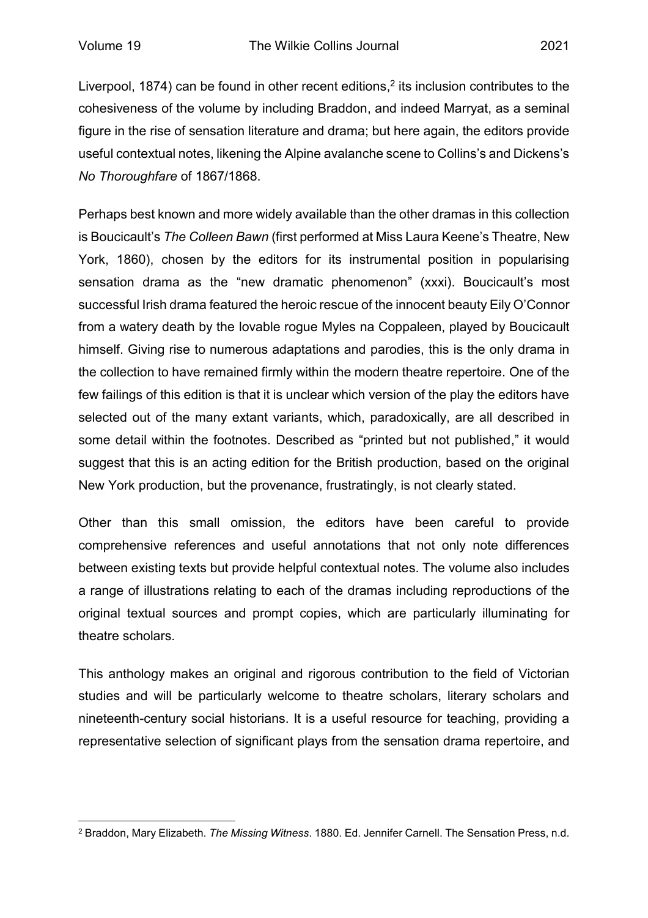Liverpool, 1874) can be found in other recent editions, $^2$  its inclusion contributes to the cohesiveness of the volume by including Braddon, and indeed Marryat, as a seminal figure in the rise of sensation literature and drama; but here again, the editors provide useful contextual notes, likening the Alpine avalanche scene to Collins's and Dickens's *No Thoroughfare* of 1867/1868.

Perhaps best known and more widely available than the other dramas in this collection is Boucicault's *The Colleen Bawn* (first performed at Miss Laura Keene's Theatre, New York, 1860), chosen by the editors for its instrumental position in popularising sensation drama as the "new dramatic phenomenon" (xxxi). Boucicault's most successful Irish drama featured the heroic rescue of the innocent beauty Eily O'Connor from a watery death by the lovable rogue Myles na Coppaleen, played by Boucicault himself. Giving rise to numerous adaptations and parodies, this is the only drama in the collection to have remained firmly within the modern theatre repertoire. One of the few failings of this edition is that it is unclear which version of the play the editors have selected out of the many extant variants, which, paradoxically, are all described in some detail within the footnotes. Described as "printed but not published," it would suggest that this is an acting edition for the British production, based on the original New York production, but the provenance, frustratingly, is not clearly stated.

Other than this small omission, the editors have been careful to provide comprehensive references and useful annotations that not only note differences between existing texts but provide helpful contextual notes. The volume also includes a range of illustrations relating to each of the dramas including reproductions of the original textual sources and prompt copies, which are particularly illuminating for theatre scholars.

This anthology makes an original and rigorous contribution to the field of Victorian studies and will be particularly welcome to theatre scholars, literary scholars and nineteenth-century social historians. It is a useful resource for teaching, providing a representative selection of significant plays from the sensation drama repertoire, and

 $\overline{a}$ <sup>2</sup> Braddon, Mary Elizabeth. *The Missing Witness*. 1880. Ed. Jennifer Carnell. The Sensation Press, n.d.